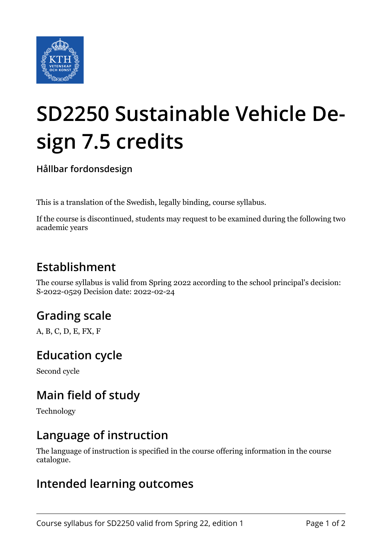

# **SD2250 Sustainable Vehicle Design 7.5 credits**

**Hållbar fordonsdesign**

This is a translation of the Swedish, legally binding, course syllabus.

If the course is discontinued, students may request to be examined during the following two academic years

## **Establishment**

The course syllabus is valid from Spring 2022 according to the school principal's decision: S-2022-0529 Decision date: 2022-02-24

# **Grading scale**

A, B, C, D, E, FX, F

#### **Education cycle**

Second cycle

## **Main field of study**

Technology

#### **Language of instruction**

The language of instruction is specified in the course offering information in the course catalogue.

#### **Intended learning outcomes**